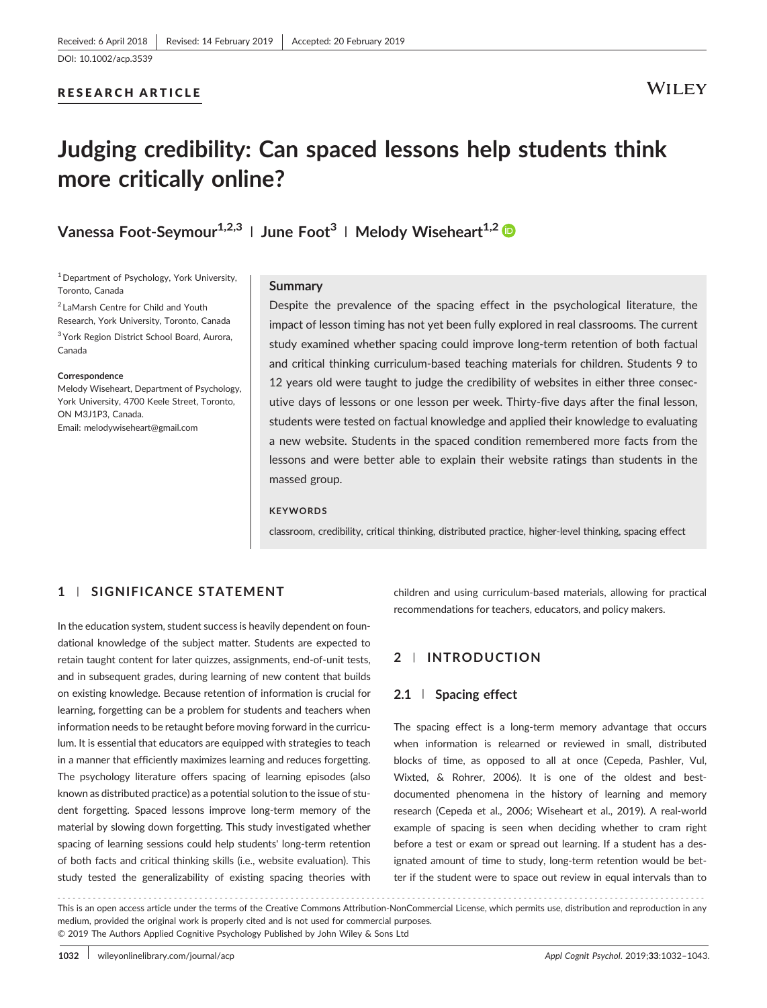## RESEARCH ARTICLE

## **WILEY**

# **Judging credibility: Can spaced lessons help students think more critically online?**

## **Vanessa Foot-Seymour**<sup>1,2,3</sup> | **June Foot**<sup>3</sup> | **Melody Wiseheart**<sup>1,2</sup>

<sup>1</sup> Department of Psychology, York University, Toronto, Canada

<sup>2</sup> LaMarsh Centre for Child and Youth Research, York University, Toronto, Canada <sup>3</sup> York Region District School Board, Aurora, Canada

#### **Correspondence**

Melody Wiseheart, Department of Psychology, York University, 4700 Keele Street, Toronto, ON M3J1P3, Canada. Email: [melodywiseheart@gmail.com](mailto:melodywiseheart@gmail.com)

### **Summary**

Despite the prevalence of the spacing effect in the psychological literature, the impact of lesson timing has not yet been fully explored in real classrooms. The current study examined whether spacing could improve long‐term retention of both factual and critical thinking curriculum‐based teaching materials for children. Students 9 to 12 years old were taught to judge the credibility of websites in either three consecutive days of lessons or one lesson per week. Thirty-five days after the final lesson, students were tested on factual knowledge and applied their knowledge to evaluating a new website. Students in the spaced condition remembered more facts from the lessons and were better able to explain their website ratings than students in the massed group.

#### **KEYWORDS**

classroom, credibility, critical thinking, distributed practice, higher‐level thinking, spacing effect

## **1** | **SIGNIFICANCE STATEMENT**

In the education system, student success is heavily dependent on foundational knowledge of the subject matter. Students are expected to retain taught content for later quizzes, assignments, end‐of‐unit tests, and in subsequent grades, during learning of new content that builds on existing knowledge. Because retention of information is crucial for learning, forgetting can be a problem for students and teachers when information needs to be retaught before moving forward in the curriculum. It is essential that educators are equipped with strategies to teach in a manner that efficiently maximizes learning and reduces forgetting. The psychology literature offers spacing of learning episodes (also known as distributed practice) as a potential solution to the issue of student forgetting. Spaced lessons improve long-term memory of the material by slowing down forgetting. This study investigated whether spacing of learning sessions could help students' long-term retention of both facts and critical thinking skills (i.e., website evaluation). This study tested the generalizability of existing spacing theories with children and using curriculum‐based materials, allowing for practical recommendations for teachers, educators, and policy makers.

## **2** | **INTRODUCTION**

## **2.1** | **Spacing effect**

The spacing effect is a long-term memory advantage that occurs when information is relearned or reviewed in small, distributed blocks of time, as opposed to all at once (Cepeda, Pashler, Vul, Wixted, & Rohrer, 2006). It is one of the oldest and bestdocumented phenomena in the history of learning and memory research (Cepeda et al., 2006; Wiseheart et al., 2019). A real‐world example of spacing is seen when deciding whether to cram right before a test or exam or spread out learning. If a student has a designated amount of time to study, long‐term retention would be better if the student were to space out review in equal intervals than to

------------------------------------------------------------------------------------------------------------------------------- - This is an open access article under the terms of the [Creative Commons Attribution](http://creativecommons.org/licenses/by-nc/4.0/)‐NonCommercial License, which permits use, distribution and reproduction in any medium, provided the original work is properly cited and is not used for commercial purposes. © 2019 The Authors Applied Cognitive Psychology Published by John Wiley & Sons Ltd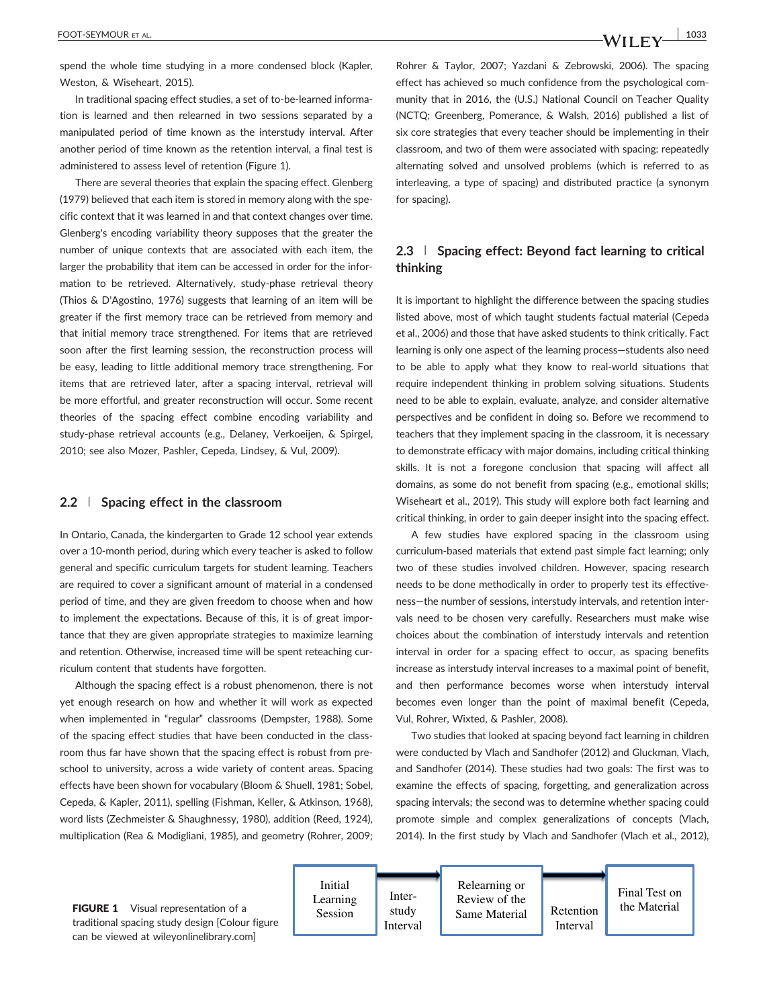spend the whole time studying in a more condensed block (Kapler, Weston, & Wiseheart, 2015).

In traditional spacing effect studies, a set of to‐be‐learned information is learned and then relearned in two sessions separated by a manipulated period of time known as the interstudy interval. After another period of time known as the retention interval, a final test is administered to assess level of retention (Figure 1).

There are several theories that explain the spacing effect. Glenberg (1979) believed that each item is stored in memory along with the specific context that it was learned in and that context changes over time. Glenberg's encoding variability theory supposes that the greater the number of unique contexts that are associated with each item, the larger the probability that item can be accessed in order for the information to be retrieved. Alternatively, study-phase retrieval theory (Thios & D'Agostino, 1976) suggests that learning of an item will be greater if the first memory trace can be retrieved from memory and that initial memory trace strengthened. For items that are retrieved soon after the first learning session, the reconstruction process will be easy, leading to little additional memory trace strengthening. For items that are retrieved later, after a spacing interval, retrieval will be more effortful, and greater reconstruction will occur. Some recent theories of the spacing effect combine encoding variability and study‐phase retrieval accounts (e.g., Delaney, Verkoeijen, & Spirgel, 2010; see also Mozer, Pashler, Cepeda, Lindsey, & Vul, 2009).

## **2.2** | **Spacing effect in the classroom**

In Ontario, Canada, the kindergarten to Grade 12 school year extends over a 10‐month period, during which every teacher is asked to follow general and specific curriculum targets for student learning. Teachers are required to cover a significant amount of material in a condensed period of time, and they are given freedom to choose when and how to implement the expectations. Because of this, it is of great importance that they are given appropriate strategies to maximize learning and retention. Otherwise, increased time will be spent reteaching curriculum content that students have forgotten.

Although the spacing effect is a robust phenomenon, there is not yet enough research on how and whether it will work as expected when implemented in "regular" classrooms (Dempster, 1988). Some of the spacing effect studies that have been conducted in the classroom thus far have shown that the spacing effect is robust from preschool to university, across a wide variety of content areas. Spacing effects have been shown for vocabulary (Bloom & Shuell, 1981; Sobel, Cepeda, & Kapler, 2011), spelling (Fishman, Keller, & Atkinson, 1968), word lists (Zechmeister & Shaughnessy, 1980), addition (Reed, 1924), multiplication (Rea & Modigliani, 1985), and geometry (Rohrer, 2009; Rohrer & Taylor, 2007; Yazdani & Zebrowski, 2006). The spacing effect has achieved so much confidence from the psychological community that in 2016, the (U.S.) National Council on Teacher Quality (NCTQ; Greenberg, Pomerance, & Walsh, 2016) published a list of six core strategies that every teacher should be implementing in their classroom, and two of them were associated with spacing: repeatedly alternating solved and unsolved problems (which is referred to as interleaving, a type of spacing) and distributed practice (a synonym for spacing).

## **2.3** | **Spacing effect: Beyond fact learning to critical thinking**

It is important to highlight the difference between the spacing studies listed above, most of which taught students factual material (Cepeda et al., 2006) and those that have asked students to think critically. Fact learning is only one aspect of the learning process—students also need to be able to apply what they know to real‐world situations that require independent thinking in problem solving situations. Students need to be able to explain, evaluate, analyze, and consider alternative perspectives and be confident in doing so. Before we recommend to teachers that they implement spacing in the classroom, it is necessary to demonstrate efficacy with major domains, including critical thinking skills. It is not a foregone conclusion that spacing will affect all domains, as some do not benefit from spacing (e.g., emotional skills; Wiseheart et al., 2019). This study will explore both fact learning and critical thinking, in order to gain deeper insight into the spacing effect.

A few studies have explored spacing in the classroom using curriculum‐based materials that extend past simple fact learning; only two of these studies involved children. However, spacing research needs to be done methodically in order to properly test its effectiveness—the number of sessions, interstudy intervals, and retention intervals need to be chosen very carefully. Researchers must make wise choices about the combination of interstudy intervals and retention interval in order for a spacing effect to occur, as spacing benefits increase as interstudy interval increases to a maximal point of benefit, and then performance becomes worse when interstudy interval becomes even longer than the point of maximal benefit (Cepeda, Vul, Rohrer, Wixted, & Pashler, 2008).

Two studies that looked at spacing beyond fact learning in children were conducted by Vlach and Sandhofer (2012) and Gluckman, Vlach, and Sandhofer (2014). These studies had two goals: The first was to examine the effects of spacing, forgetting, and generalization across spacing intervals; the second was to determine whether spacing could promote simple and complex generalizations of concepts (Vlach, 2014). In the first study by Vlach and Sandhofer (Vlach et al., 2012),

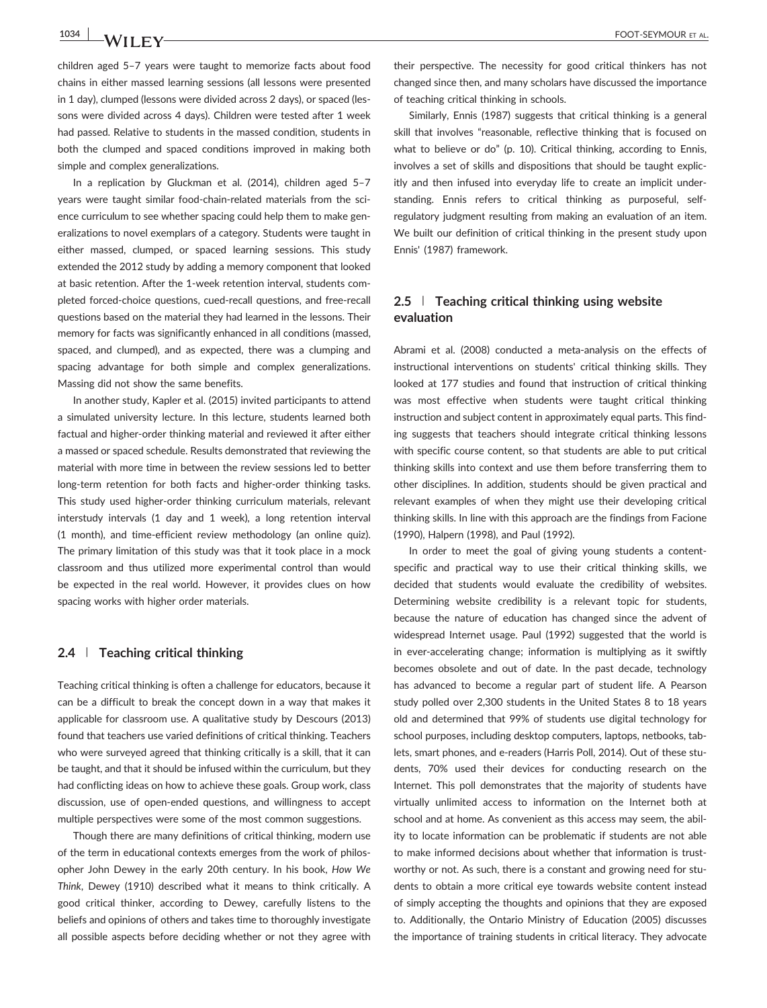children aged 5–7 years were taught to memorize facts about food chains in either massed learning sessions (all lessons were presented in 1 day), clumped (lessons were divided across 2 days), or spaced (lessons were divided across 4 days). Children were tested after 1 week had passed. Relative to students in the massed condition, students in both the clumped and spaced conditions improved in making both simple and complex generalizations.

In a replication by Gluckman et al. (2014), children aged 5–7 years were taught similar food‐chain‐related materials from the science curriculum to see whether spacing could help them to make generalizations to novel exemplars of a category. Students were taught in either massed, clumped, or spaced learning sessions. This study extended the 2012 study by adding a memory component that looked at basic retention. After the 1‐week retention interval, students completed forced‐choice questions, cued‐recall questions, and free‐recall questions based on the material they had learned in the lessons. Their memory for facts was significantly enhanced in all conditions (massed, spaced, and clumped), and as expected, there was a clumping and spacing advantage for both simple and complex generalizations. Massing did not show the same benefits.

In another study, Kapler et al. (2015) invited participants to attend a simulated university lecture. In this lecture, students learned both factual and higher‐order thinking material and reviewed it after either a massed or spaced schedule. Results demonstrated that reviewing the material with more time in between the review sessions led to better long‐term retention for both facts and higher‐order thinking tasks. This study used higher‐order thinking curriculum materials, relevant interstudy intervals (1 day and 1 week), a long retention interval (1 month), and time‐efficient review methodology (an online quiz). The primary limitation of this study was that it took place in a mock classroom and thus utilized more experimental control than would be expected in the real world. However, it provides clues on how spacing works with higher order materials.

## **2.4** | **Teaching critical thinking**

Teaching critical thinking is often a challenge for educators, because it can be a difficult to break the concept down in a way that makes it applicable for classroom use. A qualitative study by Descours (2013) found that teachers use varied definitions of critical thinking. Teachers who were surveyed agreed that thinking critically is a skill, that it can be taught, and that it should be infused within the curriculum, but they had conflicting ideas on how to achieve these goals. Group work, class discussion, use of open‐ended questions, and willingness to accept multiple perspectives were some of the most common suggestions.

Though there are many definitions of critical thinking, modern use of the term in educational contexts emerges from the work of philosopher John Dewey in the early 20th century. In his book, *How We Think*, Dewey (1910) described what it means to think critically. A good critical thinker, according to Dewey, carefully listens to the beliefs and opinions of others and takes time to thoroughly investigate all possible aspects before deciding whether or not they agree with

their perspective. The necessity for good critical thinkers has not changed since then, and many scholars have discussed the importance of teaching critical thinking in schools.

Similarly, Ennis (1987) suggests that critical thinking is a general skill that involves "reasonable, reflective thinking that is focused on what to believe or do" (p. 10). Critical thinking, according to Ennis, involves a set of skills and dispositions that should be taught explicitly and then infused into everyday life to create an implicit understanding. Ennis refers to critical thinking as purposeful, self‐ regulatory judgment resulting from making an evaluation of an item. We built our definition of critical thinking in the present study upon Ennis' (1987) framework.

## **2.5** | **Teaching critical thinking using website evaluation**

Abrami et al. (2008) conducted a meta‐analysis on the effects of instructional interventions on students' critical thinking skills. They looked at 177 studies and found that instruction of critical thinking was most effective when students were taught critical thinking instruction and subject content in approximately equal parts. This finding suggests that teachers should integrate critical thinking lessons with specific course content, so that students are able to put critical thinking skills into context and use them before transferring them to other disciplines. In addition, students should be given practical and relevant examples of when they might use their developing critical thinking skills. In line with this approach are the findings from Facione (1990), Halpern (1998), and Paul (1992).

In order to meet the goal of giving young students a contentspecific and practical way to use their critical thinking skills, we decided that students would evaluate the credibility of websites. Determining website credibility is a relevant topic for students, because the nature of education has changed since the advent of widespread Internet usage. Paul (1992) suggested that the world is in ever-accelerating change; information is multiplying as it swiftly becomes obsolete and out of date. In the past decade, technology has advanced to become a regular part of student life. A Pearson study polled over 2,300 students in the United States 8 to 18 years old and determined that 99% of students use digital technology for school purposes, including desktop computers, laptops, netbooks, tablets, smart phones, and e‐readers (Harris Poll, 2014). Out of these students, 70% used their devices for conducting research on the Internet. This poll demonstrates that the majority of students have virtually unlimited access to information on the Internet both at school and at home. As convenient as this access may seem, the ability to locate information can be problematic if students are not able to make informed decisions about whether that information is trustworthy or not. As such, there is a constant and growing need for students to obtain a more critical eye towards website content instead of simply accepting the thoughts and opinions that they are exposed to. Additionally, the Ontario Ministry of Education (2005) discusses the importance of training students in critical literacy. They advocate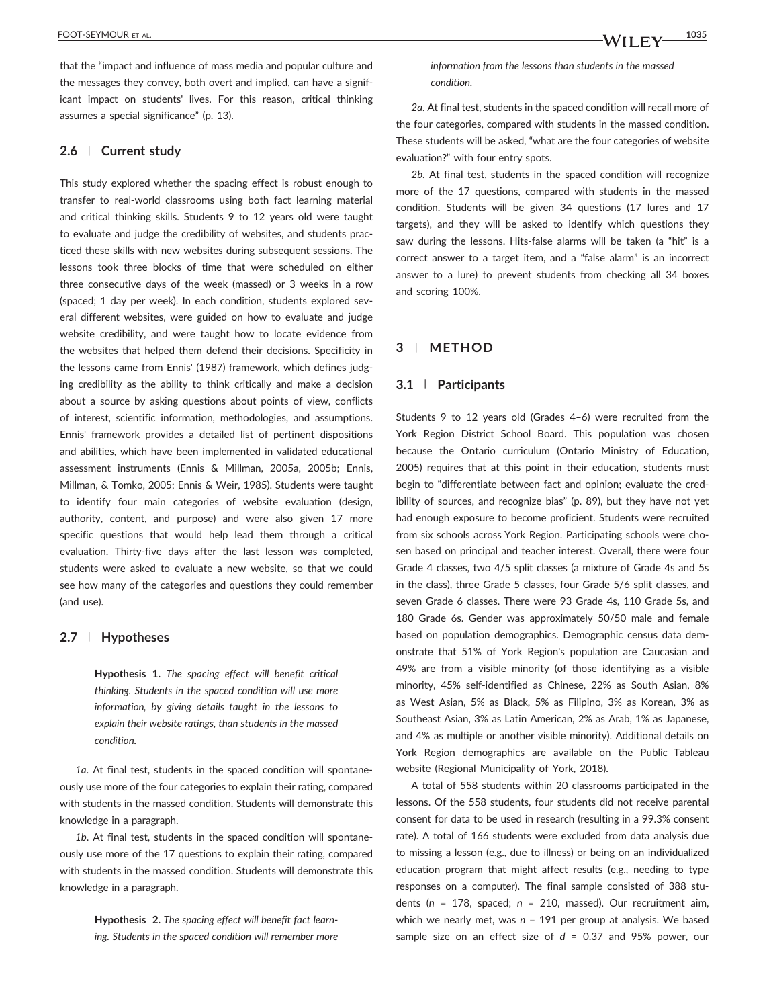that the "impact and influence of mass media and popular culture and the messages they convey, both overt and implied, can have a significant impact on students' lives. For this reason, critical thinking assumes a special significance" (p. 13).

## **2.6** | **Current study**

This study explored whether the spacing effect is robust enough to transfer to real‐world classrooms using both fact learning material and critical thinking skills. Students 9 to 12 years old were taught to evaluate and judge the credibility of websites, and students practiced these skills with new websites during subsequent sessions. The lessons took three blocks of time that were scheduled on either three consecutive days of the week (massed) or 3 weeks in a row (spaced; 1 day per week). In each condition, students explored several different websites, were guided on how to evaluate and judge website credibility, and were taught how to locate evidence from the websites that helped them defend their decisions. Specificity in the lessons came from Ennis' (1987) framework, which defines judging credibility as the ability to think critically and make a decision about a source by asking questions about points of view, conflicts of interest, scientific information, methodologies, and assumptions. Ennis' framework provides a detailed list of pertinent dispositions and abilities, which have been implemented in validated educational assessment instruments (Ennis & Millman, 2005a, 2005b; Ennis, Millman, & Tomko, 2005; Ennis & Weir, 1985). Students were taught to identify four main categories of website evaluation (design, authority, content, and purpose) and were also given 17 more specific questions that would help lead them through a critical evaluation. Thirty‐five days after the last lesson was completed, students were asked to evaluate a new website, so that we could see how many of the categories and questions they could remember (and use).

### **2.7** | **Hypotheses**

**Hypothesis 1.** *The spacing effect will benefit critical thinking. Students in the spaced condition will use more information, by giving details taught in the lessons to explain their website ratings, than students in the massed condition.*

*1a*. At final test, students in the spaced condition will spontaneously use more of the four categories to explain their rating, compared with students in the massed condition. Students will demonstrate this knowledge in a paragraph.

*1b*. At final test, students in the spaced condition will spontaneously use more of the 17 questions to explain their rating, compared with students in the massed condition. Students will demonstrate this knowledge in a paragraph.

> **Hypothesis 2.** *The spacing effect will benefit fact learning. Students in the spaced condition will remember more*

*information from the lessons than students in the massed condition.*

*2a*. At final test, students in the spaced condition will recall more of the four categories, compared with students in the massed condition. These students will be asked, "what are the four categories of website evaluation?" with four entry spots.

*2b*. At final test, students in the spaced condition will recognize more of the 17 questions, compared with students in the massed condition. Students will be given 34 questions (17 lures and 17 targets), and they will be asked to identify which questions they saw during the lessons. Hits-false alarms will be taken (a "hit" is a correct answer to a target item, and a "false alarm" is an incorrect answer to a lure) to prevent students from checking all 34 boxes and scoring 100%.

## **3** | **METHOD**

#### **3.1** | **Participants**

Students 9 to 12 years old (Grades 4–6) were recruited from the York Region District School Board. This population was chosen because the Ontario curriculum (Ontario Ministry of Education, 2005) requires that at this point in their education, students must begin to "differentiate between fact and opinion; evaluate the credibility of sources, and recognize bias" (p. 89), but they have not yet had enough exposure to become proficient. Students were recruited from six schools across York Region. Participating schools were chosen based on principal and teacher interest. Overall, there were four Grade 4 classes, two 4/5 split classes (a mixture of Grade 4s and 5s in the class), three Grade 5 classes, four Grade 5/6 split classes, and seven Grade 6 classes. There were 93 Grade 4s, 110 Grade 5s, and 180 Grade 6s. Gender was approximately 50/50 male and female based on population demographics. Demographic census data demonstrate that 51% of York Region's population are Caucasian and 49% are from a visible minority (of those identifying as a visible minority, 45% self‐identified as Chinese, 22% as South Asian, 8% as West Asian, 5% as Black, 5% as Filipino, 3% as Korean, 3% as Southeast Asian, 3% as Latin American, 2% as Arab, 1% as Japanese, and 4% as multiple or another visible minority). Additional details on York Region demographics are available on the Public Tableau website (Regional Municipality of York, 2018).

A total of 558 students within 20 classrooms participated in the lessons. Of the 558 students, four students did not receive parental consent for data to be used in research (resulting in a 99.3% consent rate). A total of 166 students were excluded from data analysis due to missing a lesson (e.g., due to illness) or being on an individualized education program that might affect results (e.g., needing to type responses on a computer). The final sample consisted of 388 students (*n* = 178, spaced; *n* = 210, massed). Our recruitment aim, which we nearly met, was *n* = 191 per group at analysis. We based sample size on an effect size of *d* = 0.37 and 95% power, our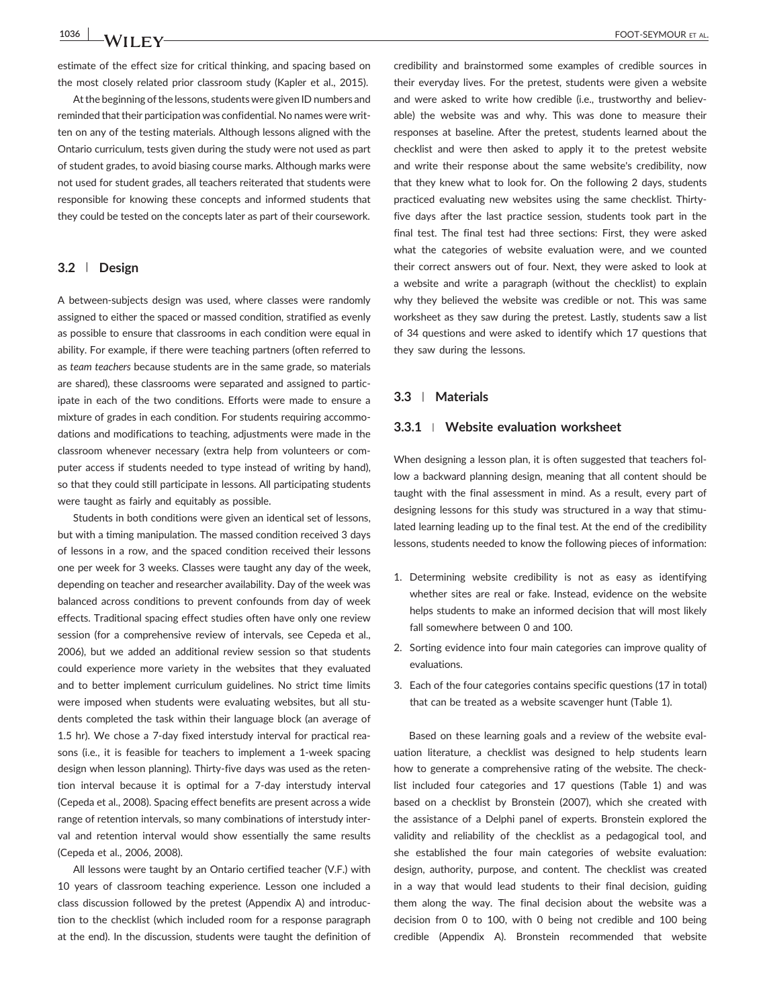estimate of the effect size for critical thinking, and spacing based on the most closely related prior classroom study (Kapler et al., 2015).

At the beginning of the lessons, students were given ID numbers and reminded that their participation was confidential. No names were written on any of the testing materials. Although lessons aligned with the Ontario curriculum, tests given during the study were not used as part of student grades, to avoid biasing course marks. Although marks were not used for student grades, all teachers reiterated that students were responsible for knowing these concepts and informed students that they could be tested on the concepts later as part of their coursework.

## **3.2** | **Design**

A between‐subjects design was used, where classes were randomly assigned to either the spaced or massed condition, stratified as evenly as possible to ensure that classrooms in each condition were equal in ability. For example, if there were teaching partners (often referred to as *team teachers* because students are in the same grade, so materials are shared), these classrooms were separated and assigned to participate in each of the two conditions. Efforts were made to ensure a mixture of grades in each condition. For students requiring accommodations and modifications to teaching, adjustments were made in the classroom whenever necessary (extra help from volunteers or computer access if students needed to type instead of writing by hand), so that they could still participate in lessons. All participating students were taught as fairly and equitably as possible.

Students in both conditions were given an identical set of lessons, but with a timing manipulation. The massed condition received 3 days of lessons in a row, and the spaced condition received their lessons one per week for 3 weeks. Classes were taught any day of the week, depending on teacher and researcher availability. Day of the week was balanced across conditions to prevent confounds from day of week effects. Traditional spacing effect studies often have only one review session (for a comprehensive review of intervals, see Cepeda et al., 2006), but we added an additional review session so that students could experience more variety in the websites that they evaluated and to better implement curriculum guidelines. No strict time limits were imposed when students were evaluating websites, but all students completed the task within their language block (an average of 1.5 hr). We chose a 7‐day fixed interstudy interval for practical reasons (i.e., it is feasible for teachers to implement a 1-week spacing design when lesson planning). Thirty‐five days was used as the retention interval because it is optimal for a 7‐day interstudy interval (Cepeda et al., 2008). Spacing effect benefits are present across a wide range of retention intervals, so many combinations of interstudy interval and retention interval would show essentially the same results (Cepeda et al., 2006, 2008).

All lessons were taught by an Ontario certified teacher (V.F.) with 10 years of classroom teaching experience. Lesson one included a class discussion followed by the pretest (Appendix A) and introduction to the checklist (which included room for a response paragraph at the end). In the discussion, students were taught the definition of

credibility and brainstormed some examples of credible sources in their everyday lives. For the pretest, students were given a website and were asked to write how credible (i.e., trustworthy and believable) the website was and why. This was done to measure their responses at baseline. After the pretest, students learned about the checklist and were then asked to apply it to the pretest website and write their response about the same website's credibility, now that they knew what to look for. On the following 2 days, students practiced evaluating new websites using the same checklist. Thirtyfive days after the last practice session, students took part in the final test. The final test had three sections: First, they were asked what the categories of website evaluation were, and we counted their correct answers out of four. Next, they were asked to look at a website and write a paragraph (without the checklist) to explain why they believed the website was credible or not. This was same worksheet as they saw during the pretest. Lastly, students saw a list of 34 questions and were asked to identify which 17 questions that they saw during the lessons.

## **3.3** | **Materials**

## **3.3.1** <sup>|</sup> **Website evaluation worksheet**

When designing a lesson plan, it is often suggested that teachers follow a backward planning design, meaning that all content should be taught with the final assessment in mind. As a result, every part of designing lessons for this study was structured in a way that stimulated learning leading up to the final test. At the end of the credibility lessons, students needed to know the following pieces of information:

- 1. Determining website credibility is not as easy as identifying whether sites are real or fake. Instead, evidence on the website helps students to make an informed decision that will most likely fall somewhere between 0 and 100.
- 2. Sorting evidence into four main categories can improve quality of evaluations.
- 3. Each of the four categories contains specific questions (17 in total) that can be treated as a website scavenger hunt (Table 1).

Based on these learning goals and a review of the website evaluation literature, a checklist was designed to help students learn how to generate a comprehensive rating of the website. The checklist included four categories and 17 questions (Table 1) and was based on a checklist by Bronstein (2007), which she created with the assistance of a Delphi panel of experts. Bronstein explored the validity and reliability of the checklist as a pedagogical tool, and she established the four main categories of website evaluation: design, authority, purpose, and content. The checklist was created in a way that would lead students to their final decision, guiding them along the way. The final decision about the website was a decision from 0 to 100, with 0 being not credible and 100 being credible (Appendix A). Bronstein recommended that website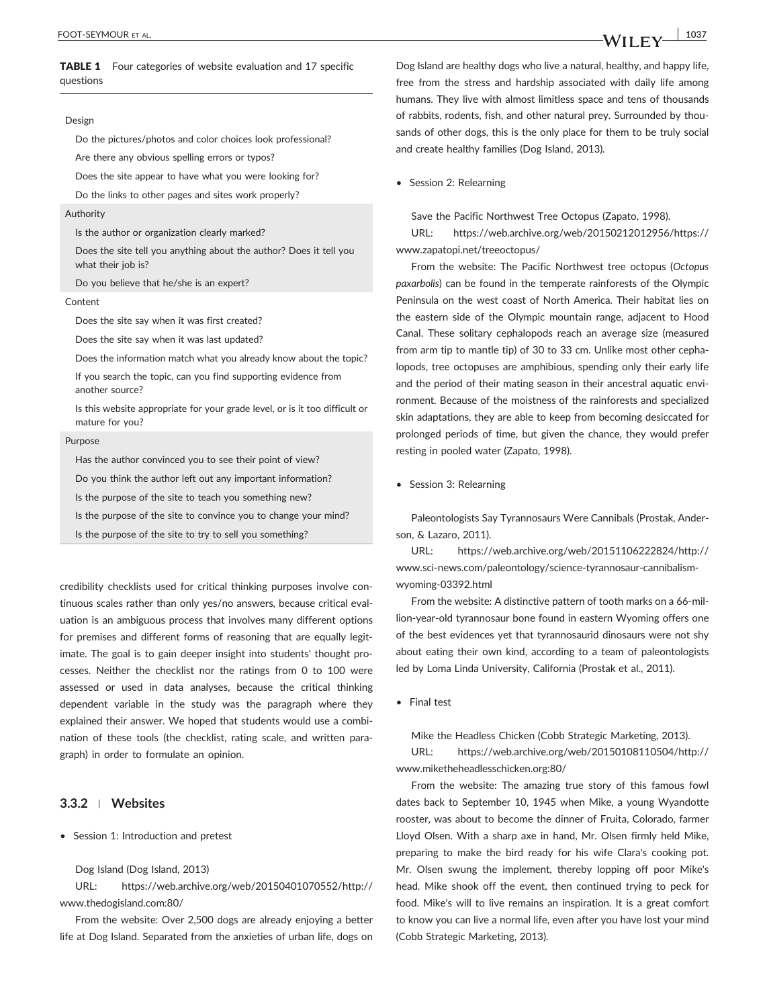## TABLE 1 Four categories of website evaluation and 17 specific questions

#### Design

Do the pictures/photos and color choices look professional?

Are there any obvious spelling errors or typos?

Does the site appear to have what you were looking for?

Do the links to other pages and sites work properly?

#### Authority

Is the author or organization clearly marked?

Does the site tell you anything about the author? Does it tell you what their job is?

Do you believe that he/she is an expert?

#### Content

Does the site say when it was first created?

Does the site say when it was last updated?

Does the information match what you already know about the topic?

If you search the topic, can you find supporting evidence from another source?

Is this website appropriate for your grade level, or is it too difficult or mature for you?

#### Purpose

Has the author convinced you to see their point of view?

Do you think the author left out any important information?

Is the purpose of the site to teach you something new?

Is the purpose of the site to convince you to change your mind?

Is the purpose of the site to try to sell you something?

credibility checklists used for critical thinking purposes involve continuous scales rather than only yes/no answers, because critical evaluation is an ambiguous process that involves many different options for premises and different forms of reasoning that are equally legitimate. The goal is to gain deeper insight into students' thought processes. Neither the checklist nor the ratings from 0 to 100 were assessed or used in data analyses, because the critical thinking dependent variable in the study was the paragraph where they explained their answer. We hoped that students would use a combination of these tools (the checklist, rating scale, and written paragraph) in order to formulate an opinion.

## **3.3.2** <sup>|</sup> **Websites**

• Session 1: Introduction and pretest

Dog Island (Dog Island, 2013)

URL: [https://web.archive.org/web/20150401070552/http://](https://web.archive.org/web/20150401070552/http://www.thedogisland.com:80/) [www.thedogisland.com:80/](https://web.archive.org/web/20150401070552/http://www.thedogisland.com:80/)

From the website: Over 2,500 dogs are already enjoying a better life at Dog Island. Separated from the anxieties of urban life, dogs on

Dog Island are healthy dogs who live a natural, healthy, and happy life, free from the stress and hardship associated with daily life among humans. They live with almost limitless space and tens of thousands of rabbits, rodents, fish, and other natural prey. Surrounded by thousands of other dogs, this is the only place for them to be truly social and create healthy families (Dog Island, 2013).

• Session 2: Relearning

Save the Pacific Northwest Tree Octopus (Zapato, 1998).

URL: [https://web.archive.org/web/20150212012956/https://](https://web.archive.org/web/20150212012956/https://www.zapatopi.net/treeoctopus/) [www.zapatopi.net/treeoctopus/](https://web.archive.org/web/20150212012956/https://www.zapatopi.net/treeoctopus/)

From the website: The Pacific Northwest tree octopus (*Octopus paxarbolis*) can be found in the temperate rainforests of the Olympic Peninsula on the west coast of North America. Their habitat lies on the eastern side of the Olympic mountain range, adjacent to Hood Canal. These solitary cephalopods reach an average size (measured from arm tip to mantle tip) of 30 to 33 cm. Unlike most other cephalopods, tree octopuses are amphibious, spending only their early life and the period of their mating season in their ancestral aquatic environment. Because of the moistness of the rainforests and specialized skin adaptations, they are able to keep from becoming desiccated for prolonged periods of time, but given the chance, they would prefer resting in pooled water (Zapato, 1998).

• Session 3: Relearning

Paleontologists Say Tyrannosaurs Were Cannibals (Prostak, Anderson, & Lazaro, 2011).

URL: [https://web.archive.org/web/20151106222824/http://](https://web.archive.org/web/20151106222824/http://www.sci-news.com/paleontology/science-tyrannosaur-cannibalism-wyoming-03392.html) www.sci‐[news.com/paleontology/science](https://web.archive.org/web/20151106222824/http://www.sci-news.com/paleontology/science-tyrannosaur-cannibalism-wyoming-03392.html)‐tyrannosaur‐cannibalism‐ wyoming‐[03392.html](https://web.archive.org/web/20151106222824/http://www.sci-news.com/paleontology/science-tyrannosaur-cannibalism-wyoming-03392.html)

From the website: A distinctive pattern of tooth marks on a 66‐million‐year‐old tyrannosaur bone found in eastern Wyoming offers one of the best evidences yet that tyrannosaurid dinosaurs were not shy about eating their own kind, according to a team of paleontologists led by Loma Linda University, California (Prostak et al., 2011).

• Final test

Mike the Headless Chicken (Cobb Strategic Marketing, 2013). URL: [https://web.archive.org/web/20150108110504/http://](https://web.archive.org/web/20150108110504/http://www.miketheheadlesschicken.org:80/) [www.miketheheadlesschicken.org:80/](https://web.archive.org/web/20150108110504/http://www.miketheheadlesschicken.org:80/)

From the website: The amazing true story of this famous fowl dates back to September 10, 1945 when Mike, a young Wyandotte rooster, was about to become the dinner of Fruita, Colorado, farmer Lloyd Olsen. With a sharp axe in hand, Mr. Olsen firmly held Mike, preparing to make the bird ready for his wife Clara's cooking pot. Mr. Olsen swung the implement, thereby lopping off poor Mike's head. Mike shook off the event, then continued trying to peck for food. Mike's will to live remains an inspiration. It is a great comfort to know you can live a normal life, even after you have lost your mind (Cobb Strategic Marketing, 2013).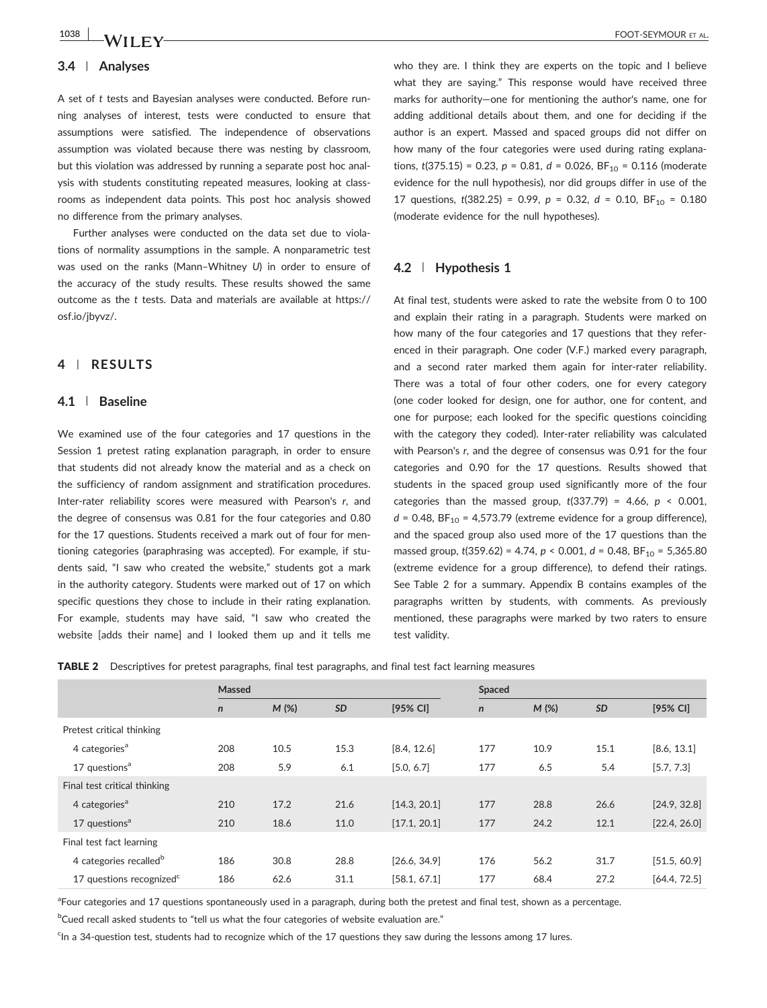## **3.4** | **Analyses**

A set of *t* tests and Bayesian analyses were conducted. Before running analyses of interest, tests were conducted to ensure that assumptions were satisfied. The independence of observations assumption was violated because there was nesting by classroom, but this violation was addressed by running a separate post hoc analysis with students constituting repeated measures, looking at classrooms as independent data points. This post hoc analysis showed no difference from the primary analyses.

Further analyses were conducted on the data set due to violations of normality assumptions in the sample. A nonparametric test was used on the ranks (Mann–Whitney *U*) in order to ensure of the accuracy of the study results. These results showed the same outcome as the *t* tests. Data and materials are available at [https://](https://osf.io/jbyvz/) [osf.io/jbyvz/.](https://osf.io/jbyvz/)

## **4** | **RESULTS**

## **4.1** | **Baseline**

We examined use of the four categories and 17 questions in the Session 1 pretest rating explanation paragraph, in order to ensure that students did not already know the material and as a check on the sufficiency of random assignment and stratification procedures. Inter‐rater reliability scores were measured with Pearson's *r*, and the degree of consensus was 0.81 for the four categories and 0.80 for the 17 questions. Students received a mark out of four for mentioning categories (paraphrasing was accepted). For example, if students said, "I saw who created the website," students got a mark in the authority category. Students were marked out of 17 on which specific questions they chose to include in their rating explanation. For example, students may have said, "I saw who created the website [adds their name] and I looked them up and it tells me

who they are. I think they are experts on the topic and I believe what they are saying." This response would have received three marks for authority—one for mentioning the author's name, one for adding additional details about them, and one for deciding if the author is an expert. Massed and spaced groups did not differ on how many of the four categories were used during rating explanations,  $t(375.15) = 0.23$ ,  $p = 0.81$ ,  $d = 0.026$ ,  $BF_{10} = 0.116$  (moderate evidence for the null hypothesis), nor did groups differ in use of the 17 questions,  $t(382.25) = 0.99$ ,  $p = 0.32$ ,  $d = 0.10$ ,  $BF_{10} = 0.180$ (moderate evidence for the null hypotheses).

#### **4.2** | **Hypothesis 1**

At final test, students were asked to rate the website from 0 to 100 and explain their rating in a paragraph. Students were marked on how many of the four categories and 17 questions that they referenced in their paragraph. One coder (V.F.) marked every paragraph, and a second rater marked them again for inter-rater reliability. There was a total of four other coders, one for every category (one coder looked for design, one for author, one for content, and one for purpose; each looked for the specific questions coinciding with the category they coded). Inter-rater reliability was calculated with Pearson's *r*, and the degree of consensus was 0.91 for the four categories and 0.90 for the 17 questions. Results showed that students in the spaced group used significantly more of the four categories than the massed group, *t*(337.79) = 4.66, *p* < 0.001,  $d = 0.48$ , BF<sub>10</sub> = 4,573.79 (extreme evidence for a group difference), and the spaced group also used more of the 17 questions than the massed group,  $t(359.62) = 4.74$ ,  $p < 0.001$ ,  $d = 0.48$ ,  $BF_{10} = 5,365.80$ (extreme evidence for a group difference), to defend their ratings. See Table 2 for a summary. Appendix B contains examples of the paragraphs written by students, with comments. As previously mentioned, these paragraphs were marked by two raters to ensure test validity.

| <b>TABLE 2</b> Descriptives for pretest paragraphs, final test paragraphs, and final test fact learning measures |  |
|------------------------------------------------------------------------------------------------------------------|--|
|------------------------------------------------------------------------------------------------------------------|--|

|                                      | Massed       |         |           | Spaced       |              |         |           |              |
|--------------------------------------|--------------|---------|-----------|--------------|--------------|---------|-----------|--------------|
|                                      | $\mathsf{n}$ | $M$ (%) | <b>SD</b> | [95% CI]     | $\mathsf{n}$ | $M$ (%) | <b>SD</b> | [95% CI]     |
| Pretest critical thinking            |              |         |           |              |              |         |           |              |
| 4 categories <sup>a</sup>            | 208          | 10.5    | 15.3      | [8.4, 12.6]  | 177          | 10.9    | 15.1      | [8.6, 13.1]  |
| 17 questions <sup>a</sup>            | 208          | 5.9     | 6.1       | [5.0, 6.7]   | 177          | 6.5     | 5.4       | [5.7, 7.3]   |
| Final test critical thinking         |              |         |           |              |              |         |           |              |
| 4 categories <sup>a</sup>            | 210          | 17.2    | 21.6      | [14.3, 20.1] | 177          | 28.8    | 26.6      | [24.9, 32.8] |
| 17 questions <sup>a</sup>            | 210          | 18.6    | 11.0      | [17.1, 20.1] | 177          | 24.2    | 12.1      | [22.4, 26.0] |
| Final test fact learning             |              |         |           |              |              |         |           |              |
| 4 categories recalled <sup>b</sup>   | 186          | 30.8    | 28.8      | [26.6, 34.9] | 176          | 56.2    | 31.7      | [51.5, 60.9] |
| 17 questions recognized <sup>c</sup> | 186          | 62.6    | 31.1      | [58.1, 67.1] | 177          | 68.4    | 27.2      | [64.4, 72.5] |

<sup>a</sup>Four categories and 17 questions spontaneously used in a paragraph, during both the pretest and final test, shown as a percentage.

<sup>b</sup>Cued recall asked students to "tell us what the four categories of website evaluation are."

<sup>c</sup>In a 34-question test, students had to recognize which of the 17 questions they saw during the lessons among 17 lures.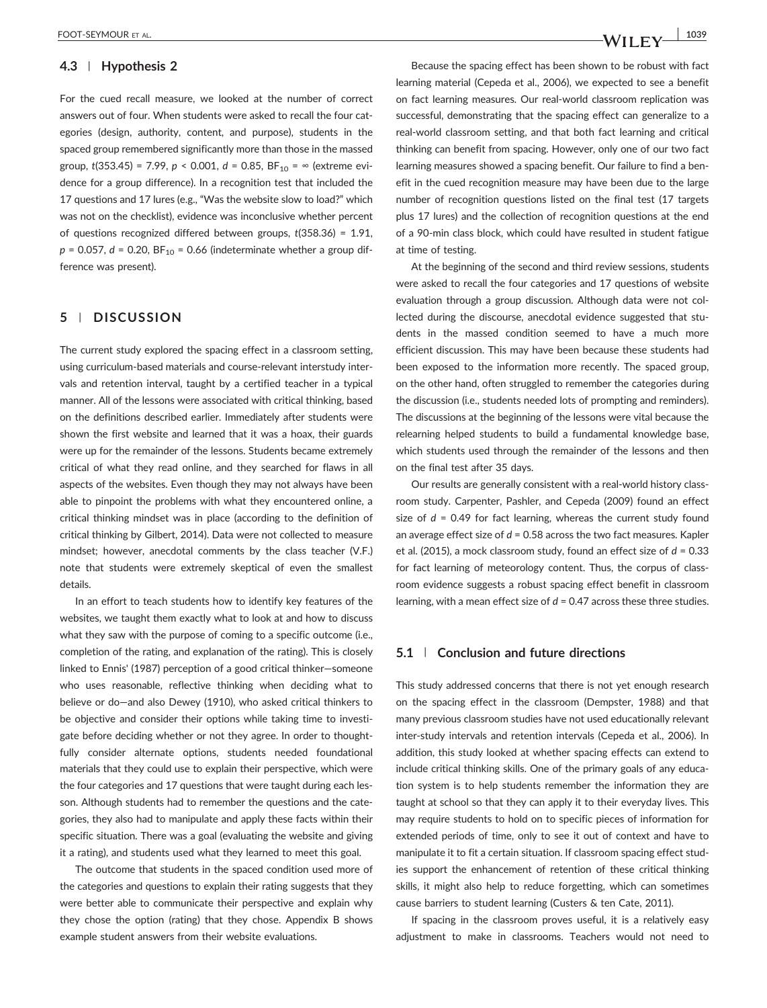## **4.3** | **Hypothesis 2**

For the cued recall measure, we looked at the number of correct answers out of four. When students were asked to recall the four categories (design, authority, content, and purpose), students in the spaced group remembered significantly more than those in the massed group,  $t(353.45) = 7.99$ ,  $p < 0.001$ ,  $d = 0.85$ ,  $BF_{10} = \infty$  (extreme evidence for a group difference). In a recognition test that included the 17 questions and 17 lures (e.g., "Was the website slow to load?" which was not on the checklist), evidence was inconclusive whether percent of questions recognized differed between groups, *t*(358.36) = 1.91,  $p = 0.057$ ,  $d = 0.20$ ,  $BF_{10} = 0.66$  (indeterminate whether a group difference was present).

## **5** | **DISCUSSION**

The current study explored the spacing effect in a classroom setting, using curriculum‐based materials and course‐relevant interstudy intervals and retention interval, taught by a certified teacher in a typical manner. All of the lessons were associated with critical thinking, based on the definitions described earlier. Immediately after students were shown the first website and learned that it was a hoax, their guards were up for the remainder of the lessons. Students became extremely critical of what they read online, and they searched for flaws in all aspects of the websites. Even though they may not always have been able to pinpoint the problems with what they encountered online, a critical thinking mindset was in place (according to the definition of critical thinking by Gilbert, 2014). Data were not collected to measure mindset; however, anecdotal comments by the class teacher (V.F.) note that students were extremely skeptical of even the smallest details.

In an effort to teach students how to identify key features of the websites, we taught them exactly what to look at and how to discuss what they saw with the purpose of coming to a specific outcome (i.e., completion of the rating, and explanation of the rating). This is closely linked to Ennis' (1987) perception of a good critical thinker—someone who uses reasonable, reflective thinking when deciding what to believe or do—and also Dewey (1910), who asked critical thinkers to be objective and consider their options while taking time to investigate before deciding whether or not they agree. In order to thoughtfully consider alternate options, students needed foundational materials that they could use to explain their perspective, which were the four categories and 17 questions that were taught during each lesson. Although students had to remember the questions and the categories, they also had to manipulate and apply these facts within their specific situation. There was a goal (evaluating the website and giving it a rating), and students used what they learned to meet this goal.

The outcome that students in the spaced condition used more of the categories and questions to explain their rating suggests that they were better able to communicate their perspective and explain why they chose the option (rating) that they chose. Appendix B shows example student answers from their website evaluations.

Because the spacing effect has been shown to be robust with fact learning material (Cepeda et al., 2006), we expected to see a benefit on fact learning measures. Our real‐world classroom replication was successful, demonstrating that the spacing effect can generalize to a real‐world classroom setting, and that both fact learning and critical thinking can benefit from spacing. However, only one of our two fact learning measures showed a spacing benefit. Our failure to find a benefit in the cued recognition measure may have been due to the large number of recognition questions listed on the final test (17 targets plus 17 lures) and the collection of recognition questions at the end of a 90‐min class block, which could have resulted in student fatigue at time of testing.

At the beginning of the second and third review sessions, students were asked to recall the four categories and 17 questions of website evaluation through a group discussion. Although data were not collected during the discourse, anecdotal evidence suggested that students in the massed condition seemed to have a much more efficient discussion. This may have been because these students had been exposed to the information more recently. The spaced group, on the other hand, often struggled to remember the categories during the discussion (i.e., students needed lots of prompting and reminders). The discussions at the beginning of the lessons were vital because the relearning helped students to build a fundamental knowledge base, which students used through the remainder of the lessons and then on the final test after 35 days.

Our results are generally consistent with a real‐world history classroom study. Carpenter, Pashler, and Cepeda (2009) found an effect size of  $d = 0.49$  for fact learning, whereas the current study found an average effect size of *d* = 0.58 across the two fact measures. Kapler et al. (2015), a mock classroom study, found an effect size of *d* = 0.33 for fact learning of meteorology content. Thus, the corpus of classroom evidence suggests a robust spacing effect benefit in classroom learning, with a mean effect size of *d* = 0.47 across these three studies.

## **5.1** | **Conclusion and future directions**

This study addressed concerns that there is not yet enough research on the spacing effect in the classroom (Dempster, 1988) and that many previous classroom studies have not used educationally relevant inter-study intervals and retention intervals (Cepeda et al., 2006). In addition, this study looked at whether spacing effects can extend to include critical thinking skills. One of the primary goals of any education system is to help students remember the information they are taught at school so that they can apply it to their everyday lives. This may require students to hold on to specific pieces of information for extended periods of time, only to see it out of context and have to manipulate it to fit a certain situation. If classroom spacing effect studies support the enhancement of retention of these critical thinking skills, it might also help to reduce forgetting, which can sometimes cause barriers to student learning (Custers & ten Cate, 2011).

If spacing in the classroom proves useful, it is a relatively easy adjustment to make in classrooms. Teachers would not need to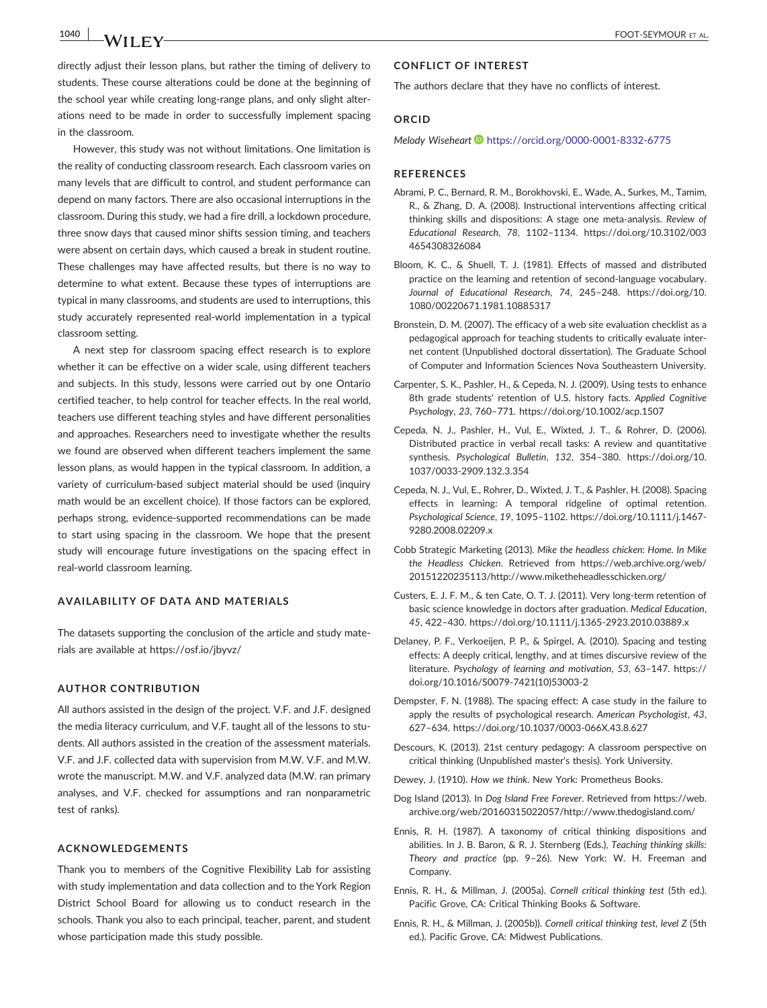directly adjust their lesson plans, but rather the timing of delivery to students. These course alterations could be done at the beginning of the school year while creating long‐range plans, and only slight alterations need to be made in order to successfully implement spacing in the classroom.

However, this study was not without limitations. One limitation is the reality of conducting classroom research. Each classroom varies on many levels that are difficult to control, and student performance can depend on many factors. There are also occasional interruptions in the classroom. During this study, we had a fire drill, a lockdown procedure, three snow days that caused minor shifts session timing, and teachers were absent on certain days, which caused a break in student routine. These challenges may have affected results, but there is no way to determine to what extent. Because these types of interruptions are typical in many classrooms, and students are used to interruptions, this study accurately represented real‐world implementation in a typical classroom setting.

A next step for classroom spacing effect research is to explore whether it can be effective on a wider scale, using different teachers and subjects. In this study, lessons were carried out by one Ontario certified teacher, to help control for teacher effects. In the real world, teachers use different teaching styles and have different personalities and approaches. Researchers need to investigate whether the results we found are observed when different teachers implement the same lesson plans, as would happen in the typical classroom. In addition, a variety of curriculum-based subject material should be used (inquiry math would be an excellent choice). If those factors can be explored, perhaps strong, evidence‐supported recommendations can be made to start using spacing in the classroom. We hope that the present study will encourage future investigations on the spacing effect in real‐world classroom learning.

## **AVAILABILITY OF DATA AND MATERIALS**

The datasets supporting the conclusion of the article and study materials are available at<https://osf.io/jbyvz/>

#### **AUTHOR CONTRIBUTION**

All authors assisted in the design of the project. V.F. and J.F. designed the media literacy curriculum, and V.F. taught all of the lessons to students. All authors assisted in the creation of the assessment materials. V.F. and J.F. collected data with supervision from M.W. V.F. and M.W. wrote the manuscript. M.W. and V.F. analyzed data (M.W. ran primary analyses, and V.F. checked for assumptions and ran nonparametric test of ranks).

## **ACKNOWLEDGEMENTS**

Thank you to members of the Cognitive Flexibility Lab for assisting with study implementation and data collection and to the York Region District School Board for allowing us to conduct research in the schools. Thank you also to each principal, teacher, parent, and student whose participation made this study possible.

## **CONFLICT OF INTEREST**

The authors declare that they have no conflicts of interest.

## **ORCID**

*Melody Wiseheart* **<https://orcid.org/0000-0001-8332-6775>** 

#### **REFERENCES**

- Abrami, P. C., Bernard, R. M., Borokhovski, E., Wade, A., Surkes, M., Tamim, R., & Zhang, D. A. (2008). Instructional interventions affecting critical thinking skills and dispositions: A stage one meta‐analysis. *Review of Educational Research*, *78*, 1102–1134. [https://doi.org/10.3102/003](https://doi.org/10.3102/0034654308326084) [4654308326084](https://doi.org/10.3102/0034654308326084)
- Bloom, K. C., & Shuell, T. J. (1981). Effects of massed and distributed practice on the learning and retention of second‐language vocabulary. *Journal of Educational Research*, *74*, 245–248. [https://doi.org/10.](https://doi.org/10.1080/00220671.1981.10885317) [1080/00220671.1981.10885317](https://doi.org/10.1080/00220671.1981.10885317)
- Bronstein, D. M. (2007). The efficacy of a web site evaluation checklist as a pedagogical approach for teaching students to critically evaluate internet content (Unpublished doctoral dissertation). The Graduate School of Computer and Information Sciences Nova Southeastern University.
- Carpenter, S. K., Pashler, H., & Cepeda, N. J. (2009). Using tests to enhance 8th grade students' retention of U.S. history facts. *Applied Cognitive Psychology*, *23*, 760–771.<https://doi.org/10.1002/acp.1507>
- Cepeda, N. J., Pashler, H., Vul, E., Wixted, J. T., & Rohrer, D. (2006). Distributed practice in verbal recall tasks: A review and quantitative synthesis. *Psychological Bulletin*, *132*, 354–380. [https://doi.org/10.](https://doi.org/10.1037/0033-2909.132.3.354) 1037/0033‐[2909.132.3.354](https://doi.org/10.1037/0033-2909.132.3.354)
- Cepeda, N. J., Vul, E., Rohrer, D., Wixted, J. T., & Pashler, H. (2008). Spacing effects in learning: A temporal ridgeline of optimal retention. *Psychological Science*, *19*, 1095–1102. [https://doi.org/10.1111/j.1467](https://doi.org/10.1111/j.1467-9280.2008.02209.x)‐ [9280.2008.02209.x](https://doi.org/10.1111/j.1467-9280.2008.02209.x)
- Cobb Strategic Marketing (2013). *Mike the headless chicken: Home. In Mike the Headless Chicken*. Retrieved from [https://web.archive.org/web/](https://web.archive.org/web/20151220235113/http://www.miketheheadlesschicken.org/) [20151220235113/http://www.miketheheadlesschicken.org/](https://web.archive.org/web/20151220235113/http://www.miketheheadlesschicken.org/)
- Custers, E. J. F. M., & ten Cate, O. T. J. (2011). Very long‐term retention of basic science knowledge in doctors after graduation. *Medical Education*, *45*, 422–430. [https://doi.org/10.1111/j.1365](https://doi.org/10.1111/j.1365-2923.2010.03889.x)‐2923.2010.03889.x
- Delaney, P. F., Verkoeijen, P. P., & Spirgel, A. (2010). Spacing and testing effects: A deeply critical, lengthy, and at times discursive review of the literature. *Psychology of learning and motivation*, *53*, 63–147. [https://](https://doi.org/10.1016/S0079-7421(10)53003-2) [doi.org/10.1016/S0079](https://doi.org/10.1016/S0079-7421(10)53003-2)‐7421(10)53003‐2
- Dempster, F. N. (1988). The spacing effect: A case study in the failure to apply the results of psychological research. *American Psychologist*, *43*, 627–634. [https://doi.org/10.1037/0003](https://doi.org/10.1037/0003-066X.43.8.627)‐066X.43.8.627
- Descours, K. (2013). 21st century pedagogy: A classroom perspective on critical thinking (Unpublished master's thesis). York University.
- Dewey, J. (1910). *How we think*. New York: Prometheus Books.
- Dog Island (2013). In *Dog Island Free Forever*. Retrieved from [https://web.](https://web.archive.org/web/20160315022057/http://www.thedogisland.com/) [archive.org/web/20160315022057/http://www.thedogisland.com/](https://web.archive.org/web/20160315022057/http://www.thedogisland.com/)
- Ennis, R. H. (1987). A taxonomy of critical thinking dispositions and abilities. In J. B. Baron, & R. J. Sternberg (Eds.), *Teaching thinking skills: Theory and practice* (pp. 9–26). New York: W. H. Freeman and Company.
- Ennis, R. H., & Millman, J. (2005a). *Cornell critical thinking test* (5th ed.). Pacific Grove, CA: Critical Thinking Books & Software.
- Ennis, R. H., & Millman, J. (2005b)). *Cornell critical thinking test, level Z* (5th ed.). Pacific Grove, CA: Midwest Publications.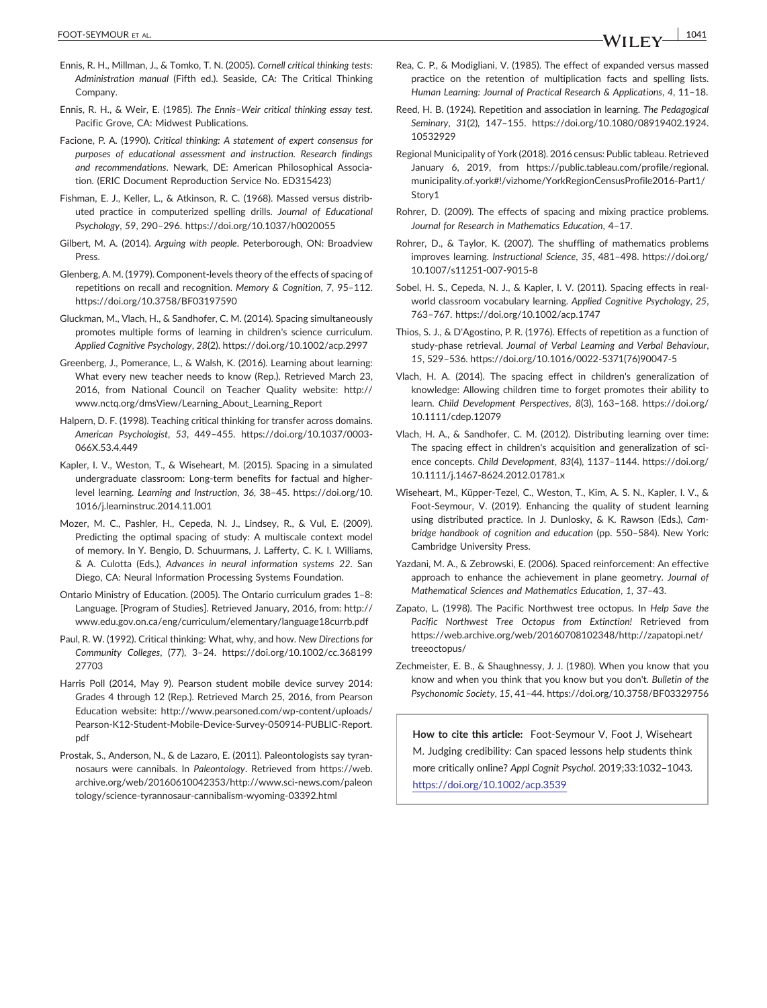- Ennis, R. H., Millman, J., & Tomko, T. N. (2005). *Cornell critical thinking tests: Administration manual* (Fifth ed.). Seaside, CA: The Critical Thinking Company.
- Ennis, R. H., & Weir, E. (1985). *The Ennis–Weir critical thinking essay test*. Pacific Grove, CA: Midwest Publications.
- Facione, P. A. (1990). *Critical thinking: A statement of expert consensus for purposes of educational assessment and instruction. Research findings and recommendations*. Newark, DE: American Philosophical Association. (ERIC Document Reproduction Service No. ED315423)
- Fishman, E. J., Keller, L., & Atkinson, R. C. (1968). Massed versus distributed practice in computerized spelling drills. *Journal of Educational Psychology*, *59*, 290–296.<https://doi.org/10.1037/h0020055>
- Gilbert, M. A. (2014). *Arguing with people*. Peterborough, ON: Broadview Press.
- Glenberg, A. M. (1979). Component‐levels theory of the effects of spacing of repetitions on recall and recognition. *Memory & Cognition*, *7*, 95–112. <https://doi.org/10.3758/BF03197590>
- Gluckman, M., Vlach, H., & Sandhofer, C. M. (2014). Spacing simultaneously promotes multiple forms of learning in children's science curriculum. *Applied Cognitive Psychology*, *28*(2).<https://doi.org/10.1002/acp.2997>
- Greenberg, J., Pomerance, L., & Walsh, K. (2016). Learning about learning: What every new teacher needs to know (Rep.). Retrieved March 23, 2016, from National Council on Teacher Quality website: [http://](http://www.nctq.org/dmsView/Learning_About_Learning_Report) [www.nctq.org/dmsView/Learning\\_About\\_Learning\\_Report](http://www.nctq.org/dmsView/Learning_About_Learning_Report)
- Halpern, D. F. (1998). Teaching critical thinking for transfer across domains. *American Psychologist*, *53*, 449–455. [https://doi.org/10.1037/0003](https://doi.org/10.1037/0003-066X.53.4.449)‐ [066X.53.4.449](https://doi.org/10.1037/0003-066X.53.4.449)
- Kapler, I. V., Weston, T., & Wiseheart, M. (2015). Spacing in a simulated undergraduate classroom: Long‐term benefits for factual and higher‐ level learning. *Learning and Instruction*, *36*, 38–45. [https://doi.org/10.](https://doi.org/10.1016/j.learninstruc.2014.11.001) [1016/j.learninstruc.2014.11.001](https://doi.org/10.1016/j.learninstruc.2014.11.001)
- Mozer, M. C., Pashler, H., Cepeda, N. J., Lindsey, R., & Vul, E. (2009). Predicting the optimal spacing of study: A multiscale context model of memory. In Y. Bengio, D. Schuurmans, J. Lafferty, C. K. I. Williams, & A. Culotta (Eds.), *Advances in neural information systems 22*. San Diego, CA: Neural Information Processing Systems Foundation.
- Ontario Ministry of Education. (2005). The Ontario curriculum grades 1–8: Language. [Program of Studies]. Retrieved January, 2016, from: [http://](http://www.edu.gov.on.ca/eng/curriculum/elementary/language18currb.pdf) [www.edu.gov.on.ca/eng/curriculum/elementary/language18currb.pdf](http://www.edu.gov.on.ca/eng/curriculum/elementary/language18currb.pdf)
- Paul, R. W. (1992). Critical thinking: What, why, and how. *New Directions for Community Colleges*, (77), 3–24. [https://doi.org/10.1002/cc.368199](https://doi.org/10.1002/cc.36819927703) [27703](https://doi.org/10.1002/cc.36819927703)
- Harris Poll (2014, May 9). Pearson student mobile device survey 2014: Grades 4 through 12 (Rep.). Retrieved March 25, 2016, from Pearson Education website: [http://www.pearsoned.com/wp](http://www.pearsoned.com/wp-content/uploads/Pearson-K12-Student-Mobile-Device-Survey-050914-PUBLIC-Report.pdf)‐content/uploads/ Pearson‐K12‐Student‐Mobile‐Device‐Survey‐[050914](http://www.pearsoned.com/wp-content/uploads/Pearson-K12-Student-Mobile-Device-Survey-050914-PUBLIC-Report.pdf)‐PUBLIC‐Report. [pdf](http://www.pearsoned.com/wp-content/uploads/Pearson-K12-Student-Mobile-Device-Survey-050914-PUBLIC-Report.pdf)
- Prostak, S., Anderson, N., & de Lazaro, E. (2011). Paleontologists say tyrannosaurs were cannibals. In *Paleontology*. Retrieved from [https://web.](https://web.archive.org/web/20160610042353/http://www.sci-news.com/paleontology/science-tyrannosaur-cannibalism-wyoming-03392.html) [archive.org/web/20160610042353/http://www.sci](https://web.archive.org/web/20160610042353/http://www.sci-news.com/paleontology/science-tyrannosaur-cannibalism-wyoming-03392.html)‐news.com/paleon [tology/science](https://web.archive.org/web/20160610042353/http://www.sci-news.com/paleontology/science-tyrannosaur-cannibalism-wyoming-03392.html)‐tyrannosaur‐cannibalism‐wyoming‐03392.html
- Rea, C. P., & Modigliani, V. (1985). The effect of expanded versus massed practice on the retention of multiplication facts and spelling lists. *Human Learning: Journal of Practical Research & Applications*, *4*, 11–18.
- Reed, H. B. (1924). Repetition and association in learning. *The Pedagogical Seminary*, *31*(2), 147–155. [https://doi.org/10.1080/08919402.1924.](https://doi.org/10.1080/08919402.1924.10532929) [10532929](https://doi.org/10.1080/08919402.1924.10532929)
- Regional Municipality of York (2018). 2016 census: Public tableau. Retrieved January 6, 2019, from https://public.tableau.com/profile/regional. municipality.of.york#!/vizhome/YorkRegionCensusProfile2016‐Part1/ Story1
- Rohrer, D. (2009). The effects of spacing and mixing practice problems. *Journal for Research in Mathematics Education*, 4–17.
- Rohrer, D., & Taylor, K. (2007). The shuffling of mathematics problems improves learning. *Instructional Science*, *35*, 481–498. [https://doi.org/](https://doi.org/10.1007/s11251-007-9015-8) [10.1007/s11251](https://doi.org/10.1007/s11251-007-9015-8)‐007‐9015‐8
- Sobel, H. S., Cepeda, N. J., & Kapler, I. V. (2011). Spacing effects in real‐ world classroom vocabulary learning. *Applied Cognitive Psychology*, *25*, 763–767.<https://doi.org/10.1002/acp.1747>
- Thios, S. J., & D'Agostino, P. R. (1976). Effects of repetition as a function of study‐phase retrieval. *Journal of Verbal Learning and Verbal Behaviour*, *15*, 529–536. [https://doi.org/10.1016/0022](https://doi.org/10.1016/0022-5371(76)90047-5)‐5371(76)90047‐5
- Vlach, H. A. (2014). The spacing effect in children's generalization of knowledge: Allowing children time to forget promotes their ability to learn. *Child Development Perspectives*, *8*(3), 163–168. [https://doi.org/](https://doi.org/10.1111/cdep.12079) [10.1111/cdep.12079](https://doi.org/10.1111/cdep.12079)
- Vlach, H. A., & Sandhofer, C. M. (2012). Distributing learning over time: The spacing effect in children's acquisition and generalization of science concepts. *Child Development*, *83*(4), 1137–1144. [https://doi.org/](https://doi.org/10.1111/j.1467-8624.2012.01781.x) 10.1111/j.1467‐[8624.2012.01781.x](https://doi.org/10.1111/j.1467-8624.2012.01781.x)
- Wiseheart, M., Küpper‐Tezel, C., Weston, T., Kim, A. S. N., Kapler, I. V., & Foot‐Seymour, V. (2019). Enhancing the quality of student learning using distributed practice. In J. Dunlosky, & K. Rawson (Eds.), *Cambridge handbook of cognition and education* (pp. 550–584). New York: Cambridge University Press.
- Yazdani, M. A., & Zebrowski, E. (2006). Spaced reinforcement: An effective approach to enhance the achievement in plane geometry. *Journal of Mathematical Sciences and Mathematics Education*, *1*, 37–43.
- Zapato, L. (1998). The Pacific Northwest tree octopus. In *Help Save the Pacific Northwest Tree Octopus from Extinction!* Retrieved from [https://web.archive.org/web/20160708102348/http://zapatopi.net/](https://web.archive.org/web/20160708102348/http://zapatopi.net/treeoctopus/) [treeoctopus/](https://web.archive.org/web/20160708102348/http://zapatopi.net/treeoctopus/)
- Zechmeister, E. B., & Shaughnessy, J. J. (1980). When you know that you know and when you think that you know but you don't. *Bulletin of the Psychonomic Society*, *15*, 41–44.<https://doi.org/10.3758/BF03329756>

**How to cite this article:** Foot‐Seymour V, Foot J, Wiseheart M. Judging credibility: Can spaced lessons help students think more critically online? *Appl Cognit Psychol*. 2019;33:1032–1043. <https://doi.org/10.1002/acp.3539>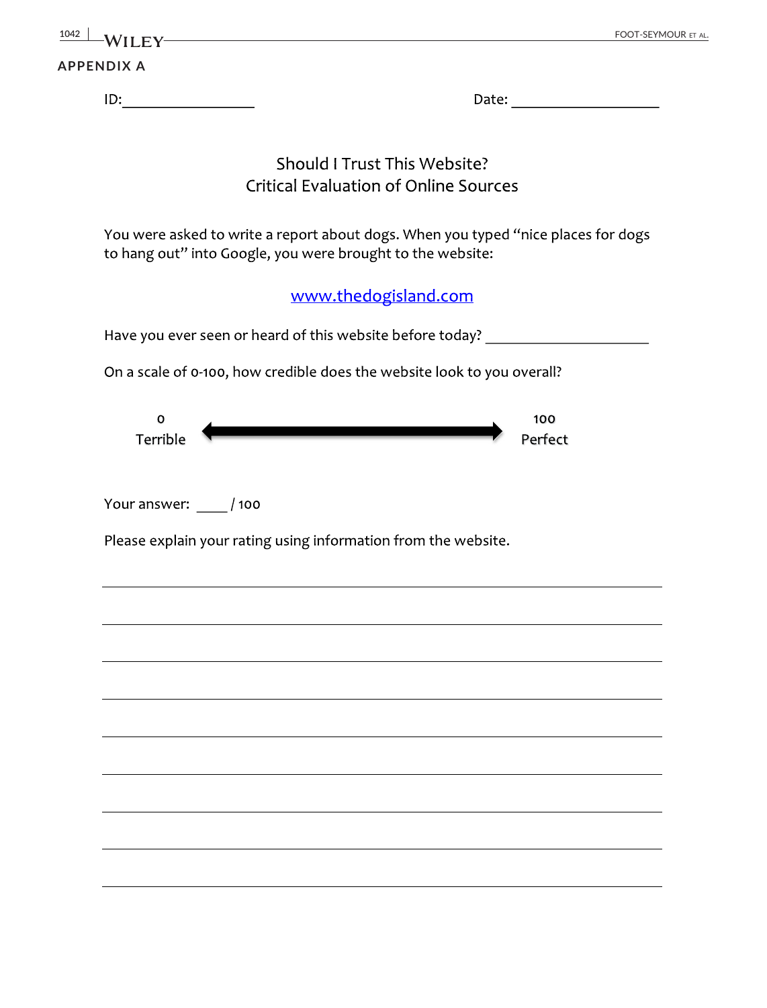| $\frac{1042 \text{ L}}{W1 \text{ L}}$ |       | FOOT-SEYMOUR ET AL. |
|---------------------------------------|-------|---------------------|
| <b>APPENDIX A</b>                     |       |                     |
| ID:                                   | Date: |                     |

## Should I Trust This Website? **Critical Evaluation of Online Sources**

You were asked to write a report about dogs. When you typed "nice places for dogs to hang out" into Google, you were brought to the website:

www.thedogisland.com

Have you ever seen or heard of this website before today? \_\_\_\_\_\_\_\_\_\_\_\_\_\_\_\_\_\_\_\_\_\_

On a scale of 0-100, how credible does the website look to you overall?

| ∼        |  | 100     |
|----------|--|---------|
| Terrible |  | Perfect |

Your answer: / 100

Please explain your rating using information from the website.